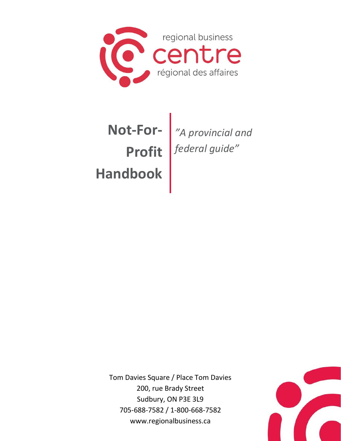

# **Not-For-Profit Handbook**

*"A provincial and federal guide"*

Tom Davies Square / Place Tom Davies 200, rue Brady Street Sudbury, ON P3E 3L9 705-688-7582 / 1-800-668-7582 www.regionalbusiness.ca

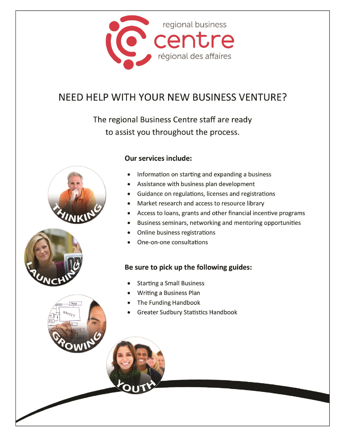

## NEED HELP WITH YOUR NEW BUSINESS VENTURE?

The regional Business Centre staff are ready to assist you throughout the process.





## **Our services include:**

- Information on starting and expanding a business
- Assistance with business plan development
- Guidance on regulations, licenses and registrations
- Market research and access to resource library
- Access to loans, grants and other financial incentive programs
- Business seminars, networking and mentoring opportunities
- Online business registrations
- One-on-one consultations

## Be sure to pick up the following guides:

- **Starting a Small Business**
- Writing a Business Plan
- The Funding Handbook
- **Greater Sudbury Statistics Handbook**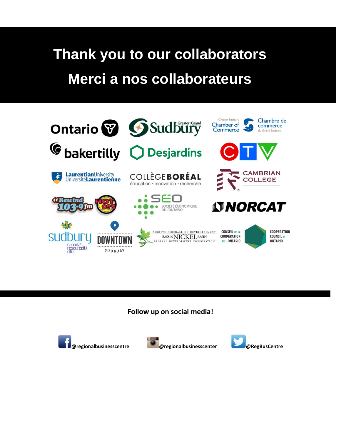# **Thank you to our collaborators**

## **Merci a nos collaborateurs**



**Follow up on social media!**





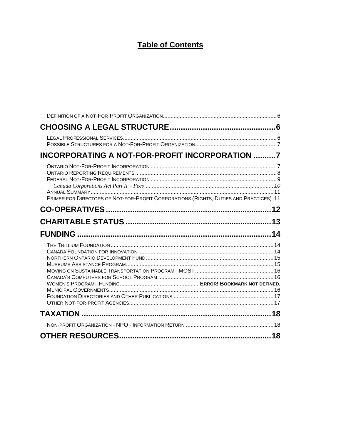## **Table of Contents**

| INCORPORATING A NOT-FOR-PROFIT INCORPORATION 7                                         |  |
|----------------------------------------------------------------------------------------|--|
| PRIMER FOR DIRECTORS OF NOT-FOR-PROFIT CORPORATIONS (RIGHTS, DUTIES AND PRACTICES). 11 |  |
|                                                                                        |  |
|                                                                                        |  |
|                                                                                        |  |
|                                                                                        |  |
|                                                                                        |  |
|                                                                                        |  |
|                                                                                        |  |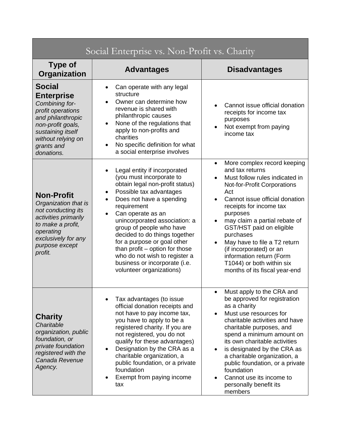| Social Enterprise vs. Non-Profit vs. Charity                                                                                                                                               |                                                                                                                                                                                                                                                                                                                                                                                                                                                       |                                                                                                                                                                                                                                                                                                                                                                                                                                                                                           |  |
|--------------------------------------------------------------------------------------------------------------------------------------------------------------------------------------------|-------------------------------------------------------------------------------------------------------------------------------------------------------------------------------------------------------------------------------------------------------------------------------------------------------------------------------------------------------------------------------------------------------------------------------------------------------|-------------------------------------------------------------------------------------------------------------------------------------------------------------------------------------------------------------------------------------------------------------------------------------------------------------------------------------------------------------------------------------------------------------------------------------------------------------------------------------------|--|
| <b>Type of</b><br>Organization                                                                                                                                                             | <b>Advantages</b>                                                                                                                                                                                                                                                                                                                                                                                                                                     | <b>Disadvantages</b>                                                                                                                                                                                                                                                                                                                                                                                                                                                                      |  |
| <b>Social</b><br><b>Enterprise</b><br>Combining for-<br>profit operations<br>and philanthropic<br>non-profit goals,<br>sustaining itself<br>without relying on<br>grants and<br>donations. | Can operate with any legal<br>structure<br>Owner can determine how<br>revenue is shared with<br>philanthropic causes<br>None of the regulations that<br>$\bullet$<br>apply to non-profits and<br>charities<br>No specific definition for what<br>a social enterprise involves                                                                                                                                                                         | Cannot issue official donation<br>receipts for income tax<br>purposes<br>Not exempt from paying<br>$\bullet$<br>income tax                                                                                                                                                                                                                                                                                                                                                                |  |
| <b>Non-Profit</b><br>Organization that is<br>not conducting its<br>activities primarily<br>to make a profit,<br>operating<br>exclusively for any<br>purpose except<br>profit.              | Legal entity if incorporated<br>(you must incorporate to<br>obtain legal non-profit status)<br>Possible tax advantages<br>Does not have a spending<br>requirement<br>Can operate as an<br>unincorporated association: a<br>group of people who have<br>decided to do things together<br>for a purpose or goal other<br>than profit $-$ option for those<br>who do not wish to register a<br>business or incorporate (i.e.<br>volunteer organizations) | More complex record keeping<br>$\bullet$<br>and tax returns<br>Must follow rules indicated in<br>$\bullet$<br><b>Not-for-Profit Corporations</b><br>Act<br>Cannot issue official donation<br>receipts for income tax<br>purposes<br>may claim a partial rebate of<br>$\bullet$<br>GST/HST paid on eligible<br>purchases<br>May have to file a T2 return<br>$\bullet$<br>(if incorporated) or an<br>information return (Form<br>T1044) or both within six<br>months of its fiscal year-end |  |
| <b>Charity</b><br>Charitable<br>organization, public<br>foundation, or<br>private foundation<br>registered with the<br>Canada Revenue<br>Agency.                                           | Tax advantages (to issue<br>official donation receipts and<br>not have to pay income tax,<br>you have to apply to be a<br>registered charity. If you are<br>not registered, you do not<br>qualify for these advantages)<br>Designation by the CRA as a<br>charitable organization, a<br>public foundation, or a private<br>foundation<br>Exempt from paying income<br>tax                                                                             | Must apply to the CRA and<br>be approved for registration<br>as a charity<br>Must use resources for<br>$\bullet$<br>charitable activities and have<br>charitable purposes, and<br>spend a minimum amount on<br>its own charitable activities<br>is designated by the CRA as<br>a charitable organization, a<br>public foundation, or a private<br>foundation<br>Cannot use its income to<br>$\bullet$<br>personally benefit its<br>members                                                |  |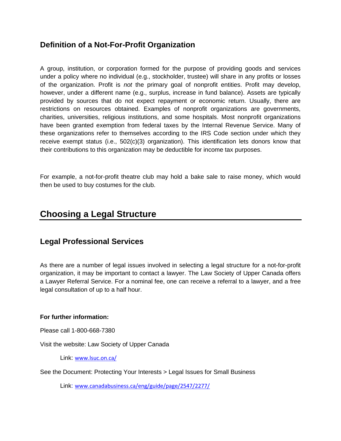## <span id="page-5-0"></span>**Definition of a Not-For-Profit Organization**

A group, institution, or corporation formed for the purpose of providing goods and services under a policy where no individual (e.g., stockholder, trustee) will share in any profits or losses of the organization. Profit is *not* the primary goal of nonprofit entities. Profit may develop, however, under a different name (e.g., surplus, increase in fund balance). Assets are typically provided by sources that do not expect repayment or economic return. Usually, there are restrictions on resources obtained. Examples of nonprofit organizations are governments, charities, universities, religious institutions, and some hospitals. Most nonprofit organizations have been granted exemption from federal taxes by the Internal Revenue Service. Many of these organizations refer to themselves according to the IRS Code section under which they receive exempt status (i.e., 502(c)(3) organization). This identification lets donors know that their contributions to this organization may be deductible for income tax purposes.

For example, a not-for-profit theatre club may hold a bake sale to raise money, which would then be used to buy costumes for the club.

## <span id="page-5-1"></span>**Choosing a Legal Structure**

## <span id="page-5-2"></span>**Legal Professional Services**

As there are a number of legal issues involved in selecting a legal structure for a not-for-profit organization, it may be important to contact a lawyer. The Law Society of Upper Canada offers a Lawyer Referral Service. For a nominal fee, one can receive a referral to a lawyer, and a free legal consultation of up to a half hour.

#### **For further information:**

Please call 1-800-668-7380

Visit the website: Law Society of Upper Canada

Link: [www.lsuc.on.ca/](http://www.lsuc.on.ca/)

See the Document: Protecting Your Interests > Legal Issues for Small Business

Link: [www.canadabusiness.ca/eng/guide/page/2547/2277/](http://www.canadabusiness.ca/eng/guide/page/2547/2277/)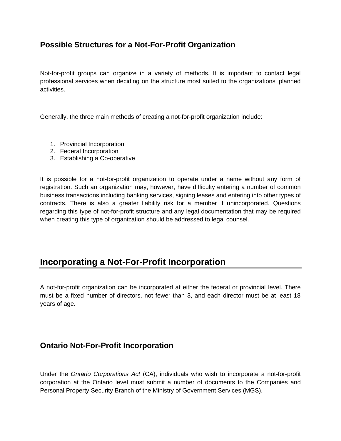## <span id="page-6-0"></span>**Possible Structures for a Not-For-Profit Organization**

Not-for-profit groups can organize in a variety of methods. It is important to contact legal professional services when deciding on the structure most suited to the organizations' planned activities.

Generally, the three main methods of creating a not-for-profit organization include:

- 1. Provincial Incorporation
- 2. Federal Incorporation
- 3. Establishing a Co-operative

It is possible for a not-for-profit organization to operate under a name without any form of registration. Such an organization may, however, have difficulty entering a number of common business transactions including banking services, signing leases and entering into other types of contracts. There is also a greater liability risk for a member if unincorporated. Questions regarding this type of not-for-profit structure and any legal documentation that may be required when creating this type of organization should be addressed to legal counsel.

## <span id="page-6-1"></span>**Incorporating a Not-For-Profit Incorporation**

A not-for-profit organization can be incorporated at either the federal or provincial level. There must be a fixed number of directors, not fewer than 3, and each director must be at least 18 years of age.

## <span id="page-6-2"></span>**Ontario Not-For-Profit Incorporation**

Under the *Ontario Corporations Act* (CA), individuals who wish to incorporate a not-for-profit corporation at the Ontario level must submit a number of documents to the Companies and Personal Property Security Branch of the Ministry of Government Services (MGS).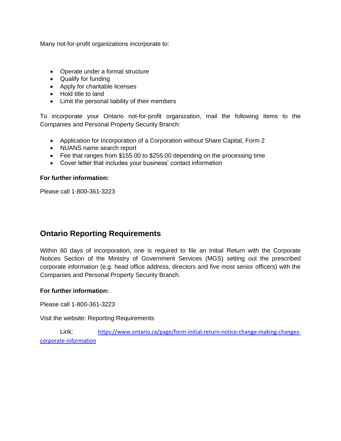Many not-for-profit organizations incorporate to:

- Operate under a formal structure
- Qualify for funding
- Apply for charitable licenses
- Hold title to land
- Limit the personal liability of their members

To incorporate your Ontario not-for-profit organization, mail the following items to the Companies and Personal Property Security Branch:

- Application for Incorporation of a Corporation without Share Capital, Form 2
- NUANS name search report
- Fee that ranges from \$155.00 to \$255.00 depending on the processing time
- Cover letter that includes your business' contact information

#### **For further information:**

Please call 1-800-361-3223

## <span id="page-7-0"></span>**Ontario Reporting Requirements**

Within 60 days of incorporation, one is required to file an Initial Return with the Corporate Notices Section of the Ministry of Government Services (MGS) setting out the prescribed corporate information (e.g. head office address, directors and five most senior officers) with the Companies and Personal Property Security Branch.

#### **For further information:**

Please call 1-800-361-3223

Visit the website: Reporting Requirements

<span id="page-7-1"></span>Link: [https://www.ontario.ca/page/form-initial-return-notice-change-making-changes](https://www.ontario.ca/page/form-initial-return-notice-change-making-changes-corporate-information)[corporate-information](https://www.ontario.ca/page/form-initial-return-notice-change-making-changes-corporate-information)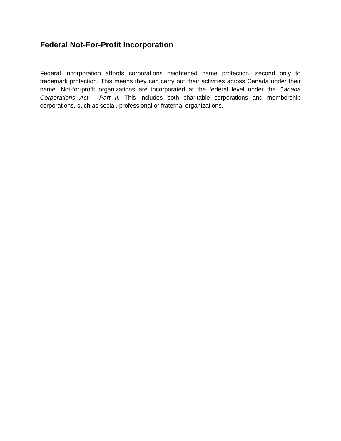## **Federal Not-For-Profit Incorporation**

Federal incorporation affords corporations heightened name protection, second only to trademark protection. This means they can carry out their activities across Canada under their name. Not-for-profit organizations are incorporated at the federal level under the *Canada Corporations Act - Part II.* This includes both charitable corporations and membership corporations, such as social, professional or fraternal organizations.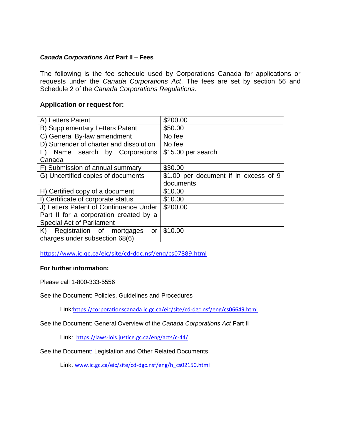#### <span id="page-9-0"></span>*Canada Corporations Act* **Part II – Fees**

The following is the fee schedule used by Corporations Canada for applications or requests under the *Canada Corporations Act*. The fees are set by section 56 and Schedule 2 of the *Canada Corporations Regulations*.

#### **Application or request for:**

| A) Letters Patent                       | \$200.00                              |
|-----------------------------------------|---------------------------------------|
| B) Supplementary Letters Patent         | \$50.00                               |
| C) General By-law amendment             | No fee                                |
| D) Surrender of charter and dissolution | No fee                                |
| E)<br>Name search by Corporations       | \$15.00 per search                    |
| Canada                                  |                                       |
| F) Submission of annual summary         | \$30.00                               |
| G) Uncertified copies of documents      | \$1.00 per document if in excess of 9 |
|                                         | documents                             |
| H) Certified copy of a document         | \$10.00                               |
| I) Certificate of corporate status      | \$10.00                               |
| J) Letters Patent of Continuance Under  | \$200.00                              |
| Part II for a corporation created by a  |                                       |
| <b>Special Act of Parliament</b>        |                                       |
| K)<br>Registration of mortgages<br>or   | \$10.00                               |
| charges under subsection 68(6)          |                                       |

<https://www.ic.gc.ca/eic/site/cd-dgc.nsf/eng/cs07889.html>

#### **For further information:**

Please call 1-800-333-5556

See the Document: Policies, Guidelines and Procedures

Link:<https://corporationscanada.ic.gc.ca/eic/site/cd-dgc.nsf/eng/cs06649.html>

See the Document: General Overview of the *Canada Corporations Act* Part II

Link: <https://laws-lois.justice.gc.ca/eng/acts/c-44/>

See the Document: Legislation and Other Related Documents

Link: [www.ic.gc.ca/eic/site/cd-dgc.nsf/eng/h\\_cs02150.html](http://www.ic.gc.ca/eic/site/cd-dgc.nsf/eng/h_cs02150.html)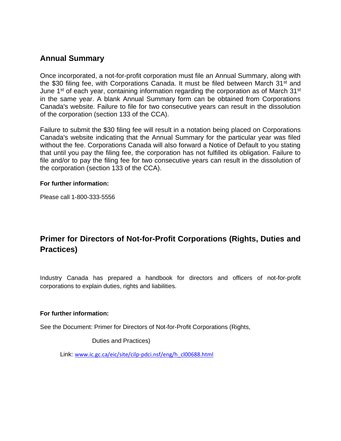## <span id="page-10-0"></span>**Annual Summary**

Once incorporated, a not-for-profit corporation must file an Annual Summary, along with the \$30 filing fee, with Corporations Canada. It must be filed between March 31<sup>st</sup> and June 1<sup>st</sup> of each year, containing information regarding the corporation as of March 31<sup>st</sup> in the same year. A blank Annual Summary form can be obtained from Corporations Canada's website. Failure to file for two consecutive years can result in the dissolution of the corporation (section 133 of the CCA).

Failure to submit the \$30 filing fee will result in a notation being placed on Corporations Canada's website indicating that the Annual Summary for the particular year was filed without the fee. Corporations Canada will also forward a Notice of Default to you stating that until you pay the filing fee, the corporation has not fulfilled its obligation. Failure to file and/or to pay the filing fee for two consecutive years can result in the dissolution of the corporation (section 133 of the CCA).

#### **For further information:**

Please call 1-800-333-5556

## <span id="page-10-1"></span>**Primer for Directors of Not-for-Profit Corporations (Rights, Duties and Practices)**

Industry Canada has prepared a handbook for directors and officers of not-for-profit corporations to explain duties, rights and liabilities.

#### **For further information:**

See the Document: Primer for Directors of Not-for-Profit Corporations (Rights,

Duties and Practices)

Link: [www.ic.gc.ca/eic/site/cilp-pdci.nsf/eng/h\\_cl00688.html](http://www.ic.gc.ca/eic/site/cilp-pdci.nsf/eng/h_cl00688.html)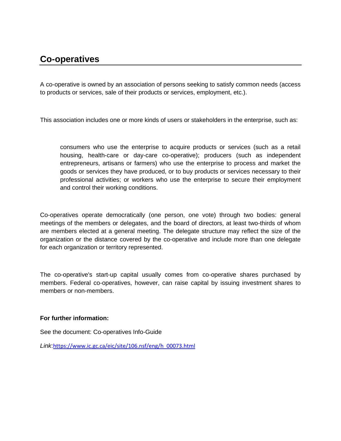<span id="page-11-0"></span>A co-operative is owned by an association of persons seeking to satisfy common needs (access to products or services, sale of their products or services, employment, etc.).

This association includes one or more kinds of users or stakeholders in the enterprise, such as:

consumers who use the enterprise to acquire products or services (such as a retail housing, health-care or day-care co-operative); producers (such as independent entrepreneurs, artisans or farmers) who use the enterprise to process and market the goods or services they have produced, or to buy products or services necessary to their professional activities; or workers who use the enterprise to secure their employment and control their working conditions.

Co-operatives operate democratically (one person, one vote) through two bodies: general meetings of the members or delegates, and the board of directors, at least two-thirds of whom are members elected at a general meeting. The delegate structure may reflect the size of the organization or the distance covered by the co-operative and include more than one delegate for each organization or territory represented.

The co-operative's start-up capital usually comes from co-operative shares purchased by members. Federal co-operatives, however, can raise capital by issuing investment shares to members or non-members.

#### **For further information:**

See the document: Co-operatives Info-Guide

*Link*:[https://www.ic.gc.ca/eic/site/106.nsf/eng/h\\_00073.html](https://www.ic.gc.ca/eic/site/106.nsf/eng/h_00073.html)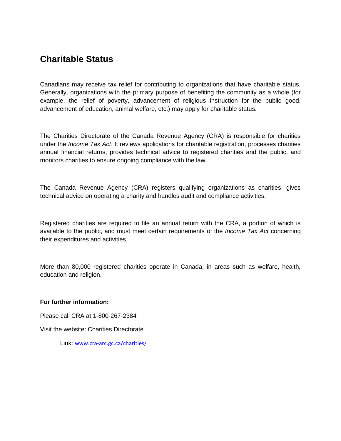## <span id="page-12-0"></span>**Charitable Status**

Canadians may receive tax relief for contributing to organizations that have charitable status. Generally, organizations with the primary purpose of benefiting the community as a whole (for example, the relief of poverty, advancement of religious instruction for the public good, advancement of education, animal welfare, etc.) may apply for charitable status.

The Charities Directorate of the Canada Revenue Agency (CRA) is responsible for charities under the *Income Tax Act*. It reviews applications for charitable registration, processes charities annual financial returns, provides technical advice to registered charities and the public, and monitors charities to ensure ongoing compliance with the law.

The Canada Revenue Agency (CRA) registers qualifying organizations as charities, gives technical advice on operating a charity and handles audit and compliance activities.

Registered charities are required to file an annual return with the CRA, a portion of which is available to the public, and must meet certain requirements of the *Income Tax Act* concerning their expenditures and activities.

More than 80,000 registered charities operate in Canada, in areas such as welfare, health, education and religion.

#### **For further information:**

Please call CRA at 1-800-267-2384

Visit the website: Charities Directorate

Link: [www.cra-arc.gc.ca/charities/](http://www.cra-arc.gc.ca/charities/)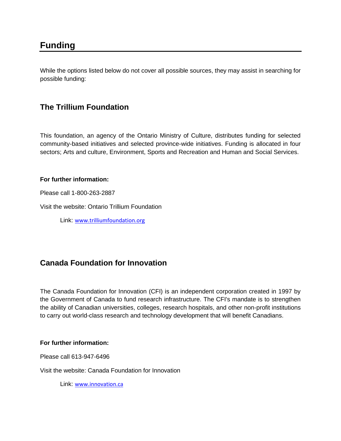## <span id="page-13-0"></span>**Funding**

While the options listed below do not cover all possible sources, they may assist in searching for possible funding:

## <span id="page-13-1"></span>**The Trillium Foundation**

This foundation, an agency of the Ontario Ministry of Culture, distributes funding for selected community-based initiatives and selected province-wide initiatives. Funding is allocated in four sectors; Arts and culture, Environment, Sports and Recreation and Human and Social Services.

#### **For further information:**

Please call 1-800-263-2887

Visit the website: Ontario Trillium Foundation

Link: [www.trilliumfoundation.org](http://www.trilliumfoundation.org/)

## <span id="page-13-2"></span>**Canada Foundation for Innovation**

The Canada Foundation for Innovation (CFI) is an independent corporation created in 1997 by the Government of Canada to fund research infrastructure. The CFI's mandate is to strengthen the ability of Canadian universities, colleges, research hospitals, and other non-profit institutions to carry out world-class research and technology development that will benefit Canadians.

#### **For further information:**

Please call 613-947-6496

Visit the website: Canada Foundation for Innovation

Link: [www.innovation.ca](http://www.innovation.ca/)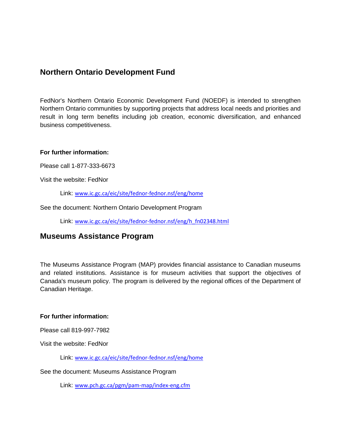### <span id="page-14-0"></span>**Northern Ontario Development Fund**

FedNor's Northern Ontario Economic Development Fund (NOEDF) is intended to strengthen Northern Ontario communities by supporting projects that address local needs and priorities and result in long term benefits including job creation, economic diversification, and enhanced business competitiveness.

#### **For further information:**

Please call 1-877-333-6673

Visit the website: FedNor

Link: [www.ic.gc.ca/eic/site/fednor-fednor.nsf/eng/home](http://www.ic.gc.ca/eic/site/fednor-fednor.nsf/eng/home)

See the document: Northern Ontario Development Program

Link: [www.ic.gc.ca/eic/site/fednor-fednor.nsf/eng/h\\_fn02348.html](http://www.ic.gc.ca/eic/site/fednor-fednor.nsf/eng/h_fn02348.html)

## <span id="page-14-1"></span>**Museums Assistance Program**

The Museums Assistance Program (MAP) provides financial assistance to Canadian museums and related institutions. Assistance is for museum activities that support the objectives of Canada's museum policy. The program is delivered by the regional offices of the Department of Canadian Heritage.

#### **For further information:**

Please call 819-997-7982

Visit the website: FedNor

Link: [www.ic.gc.ca/eic/site/fednor-fednor.nsf/eng/home](http://www.ic.gc.ca/eic/site/fednor-fednor.nsf/eng/home)

See the document: Museums Assistance Program

Link: [www.pch.gc.ca/pgm/pam-map/index-eng.cfm](http://www.pch.gc.ca/pgm/pam-map/index-eng.cfm)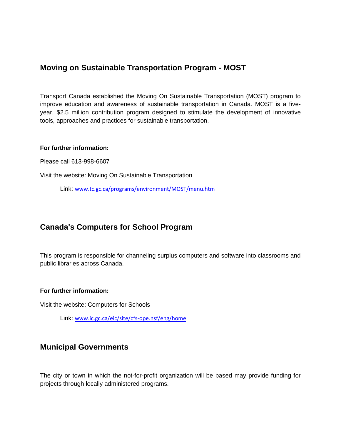## <span id="page-15-0"></span>**Moving on Sustainable Transportation Program - MOST**

Transport Canada established the Moving On Sustainable Transportation (MOST) program to improve education and awareness of sustainable transportation in Canada. MOST is a fiveyear, \$2.5 million contribution program designed to stimulate the development of innovative tools, approaches and practices for sustainable transportation.

#### **For further information:**

Please call 613-998-6607

Visit the website: Moving On Sustainable Transportation

Link: [www.tc.gc.ca/programs/environment/MOST/menu.htm](http://www.tc.gc.ca/programs/environment/MOST/menu.htm)

## <span id="page-15-1"></span>**Canada's Computers for School Program**

This program is responsible for channeling surplus computers and software into classrooms and public libraries across Canada.

#### **For further information:**

Visit the website: Computers for Schools

Link: [www.ic.gc.ca/eic/site/cfs-ope.nsf/eng/home](http://www.ic.gc.ca/eic/site/cfs-ope.nsf/eng/home)

## <span id="page-15-2"></span>**Municipal Governments**

The city or town in which the not-for-profit organization will be based may provide funding for projects through locally administered programs.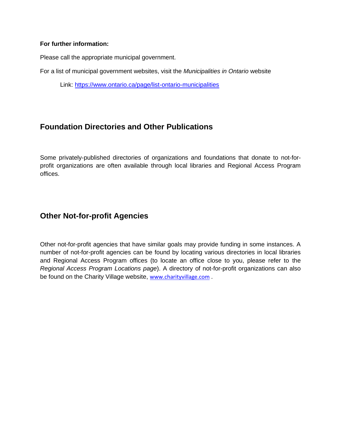#### **For further information:**

Please call the appropriate municipal government.

For a list of municipal government websites, visit the *Municipalities in Ontario* website

Link:<https://www.ontario.ca/page/list-ontario-municipalities>

## <span id="page-16-0"></span>**Foundation Directories and Other Publications**

Some privately-published directories of organizations and foundations that donate to not-forprofit organizations are often available through local libraries and Regional Access Program offices.

## <span id="page-16-1"></span>**Other Not-for-profit Agencies**

Other not-for-profit agencies that have similar goals may provide funding in some instances. A number of not-for-profit agencies can be found by locating various directories in local libraries and Regional Access Program offices (to locate an office close to you, please refer to the *Regional Access Program Locations page*). A directory of not-for-profit organizations can also be found on the Charity Village website, [www.charityvillage.com](http://www.charityvillage.com/) *.*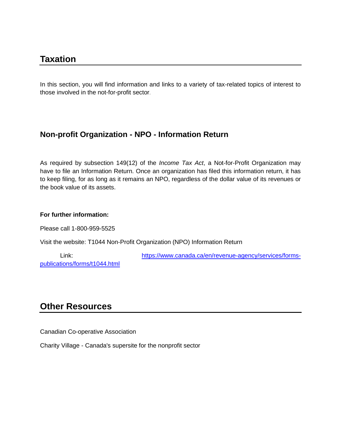<span id="page-17-0"></span>In this section, you will find information and links to a variety of tax-related topics of interest to those involved in the not-for-profit sector.

## <span id="page-17-1"></span>**Non-profit Organization - NPO - Information Return**

As required by subsection 149(12) of the *Income Tax Act*, a Not-for-Profit Organization may have to file an Information Return. Once an organization has filed this information return, it has to keep filing, for as long as it remains an NPO, regardless of the dollar value of its revenues or the book value of its assets.

#### **For further information:**

Please call 1-800-959-5525

Visit the website: T1044 Non-Profit Organization (NPO) Information Return

Link: [https://www.canada.ca/en/revenue-agency/services/forms](https://www.canada.ca/en/revenue-agency/services/forms-publications/forms/t1044.html)[publications/forms/t1044.html](https://www.canada.ca/en/revenue-agency/services/forms-publications/forms/t1044.html)

## <span id="page-17-2"></span>**Other Resources**

Canadian Co-operative Association

Charity Village - Canada's supersite for the nonprofit sector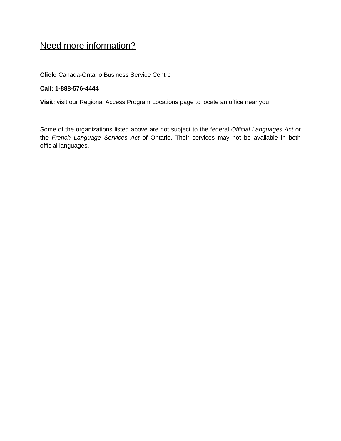## Need more information?

**Click:** Canada-Ontario Business Service Centre

#### **Call: 1-888-576-4444**

**Visit:** visit our Regional Access Program Locations page to locate an office near you

Some of the organizations listed above are not subject to the federal *Official Languages Act* or the *French Language Services Act* of Ontario. Their services may not be available in both official languages.